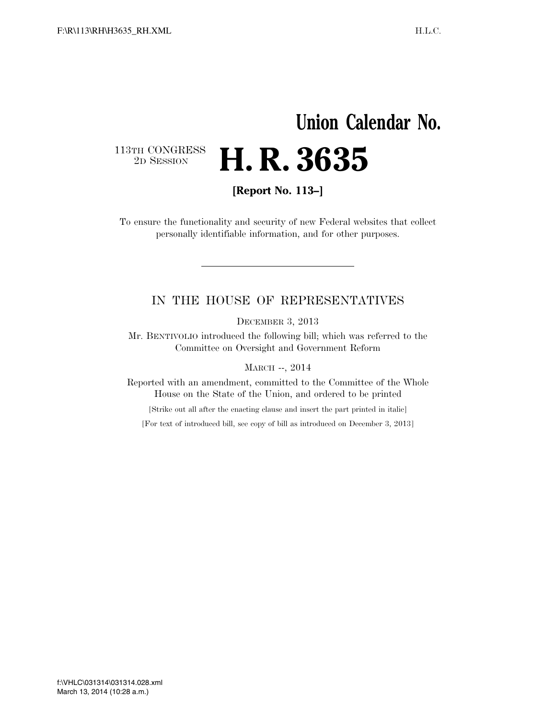## **Union Calendar No.**  113TH CONGRESS<br>2D SESSION 2D SESSION **H. R. 3635**

**[Report No. 113–]** 

To ensure the functionality and security of new Federal websites that collect personally identifiable information, and for other purposes.

### IN THE HOUSE OF REPRESENTATIVES

DECEMBER 3, 2013

Mr. BENTIVOLIO introduced the following bill; which was referred to the Committee on Oversight and Government Reform

MARCH --, 2014

Reported with an amendment, committed to the Committee of the Whole House on the State of the Union, and ordered to be printed

[Strike out all after the enacting clause and insert the part printed in italic]

[For text of introduced bill, see copy of bill as introduced on December 3, 2013]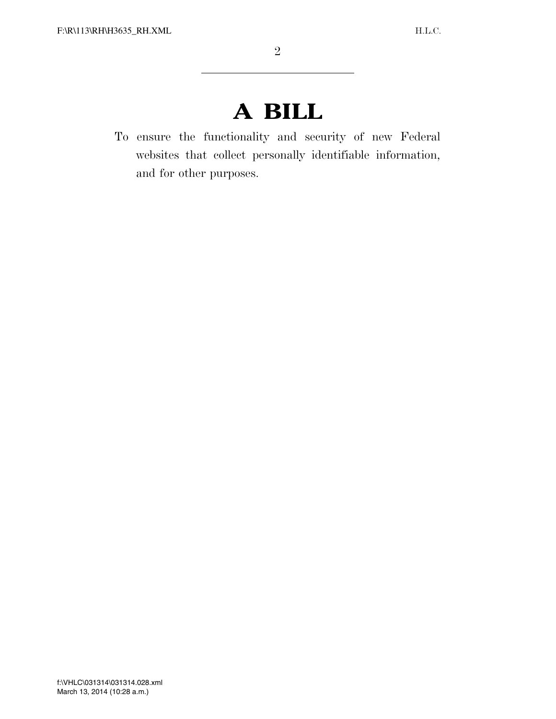# **A BILL**

To ensure the functionality and security of new Federal websites that collect personally identifiable information, and for other purposes.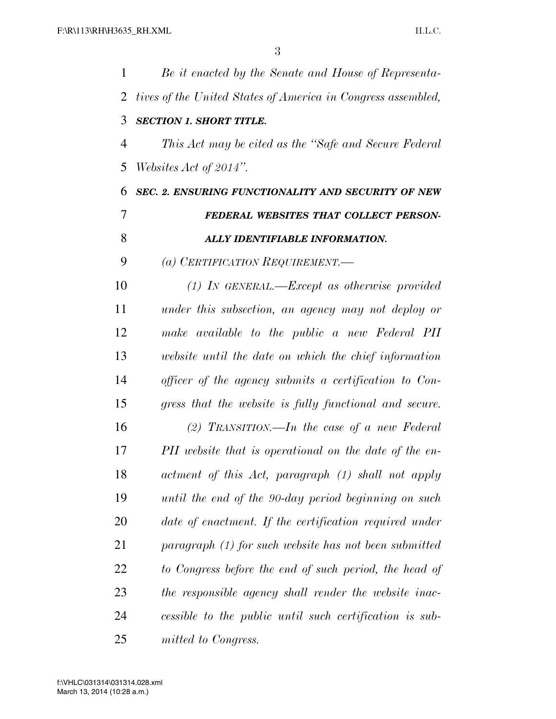| 1      | Be it enacted by the Senate and House of Representa-         |
|--------|--------------------------------------------------------------|
| 2      | tives of the United States of America in Congress assembled, |
| 3      | <b>SECTION 1. SHORT TITLE.</b>                               |
| 4      | This Act may be cited as the "Safe and Secure Federal"       |
| 5      | Websites Act of 2014".                                       |
| 6      | SEC. 2. ENSURING FUNCTIONALITY AND SECURITY OF NEW           |
| $\tau$ | FEDERAL WEBSITES THAT COLLECT PERSON-                        |
| 8      | ALLY IDENTIFIABLE INFORMATION.                               |
| 9      | (a) CERTIFICATION REQUIREMENT.-                              |
| 10     | $(1)$ IN GENERAL.—Except as otherwise provided               |
| 11     | under this subsection, an agency may not deploy or           |
| 12     | make available to the public a new Federal PII               |
| 13     | website until the date on which the chief information        |
| 14     | officer of the agency submits a certification to Con-        |
| 15     | gress that the website is fully functional and secure.       |
| 16     | (2) TRANSITION.—In the case of a new Federal                 |
| 17     | PII website that is operational on the date of the en-       |
| 18     | actment of this Act, paragraph (1) shall not apply           |
| 19     | until the end of the 90-day period beginning on such         |
| 20     | date of enactment. If the certification required under       |
| 21     | paragraph (1) for such website has not been submitted        |
| 22     | to Congress before the end of such period, the head of       |
| 23     | the responsible agency shall render the website inac-        |
| 24     | cessible to the public until such certification is sub-      |
| 25     | mitted to Congress.                                          |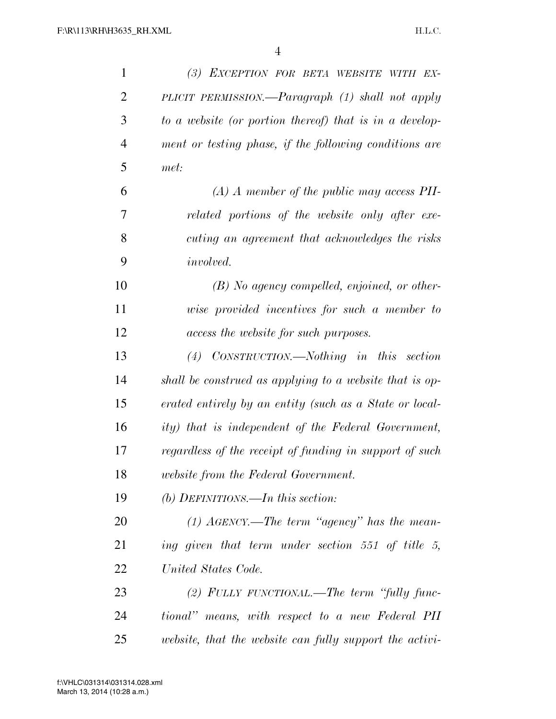| $\mathbf{1}$   | (3) EXCEPTION FOR BETA WEBSITE WITH EX-                 |
|----------------|---------------------------------------------------------|
| $\overline{2}$ | PLICIT PERMISSION.—Paragraph (1) shall not apply        |
| 3              | to a website (or portion thereof) that is in a develop- |
| $\overline{4}$ | ment or testing phase, if the following conditions are  |
| 5              | met:                                                    |
| 6              | $(A)$ A member of the public may access PII-            |
| 7              | related portions of the website only after exe-         |
| 8              | cuting an agreement that acknowledges the risks         |
| 9              | <i>involved.</i>                                        |
| 10             | $(B)$ No agency compelled, enjoined, or other-          |
| 11             | wise provided incentives for such a member to           |
| 12             | access the website for such purposes.                   |
| 13             | $(4)$ CONSTRUCTION.—Nothing in this section             |
| 14             | shall be construed as applying to a website that is op- |
| 15             | erated entirely by an entity (such as a State or local- |
| 16             | ity) that is independent of the Federal Government,     |
| 17             | regardless of the receipt of funding in support of such |
| 18             | <i>website from the Federal Government.</i>             |
| 19             | (b) DEFINITIONS.—In this section:                       |
| <b>20</b>      | $(1)$ AGENCY.—The term "agency" has the mean-           |
| 21             | ing given that term under section 551 of title 5,       |
| 22             | United States Code.                                     |
| 23             | (2) FULLY FUNCTIONAL.—The term "fully func-             |
| 24             | tional" means, with respect to a new Federal PII        |
| 25             | website, that the website can fully support the activi- |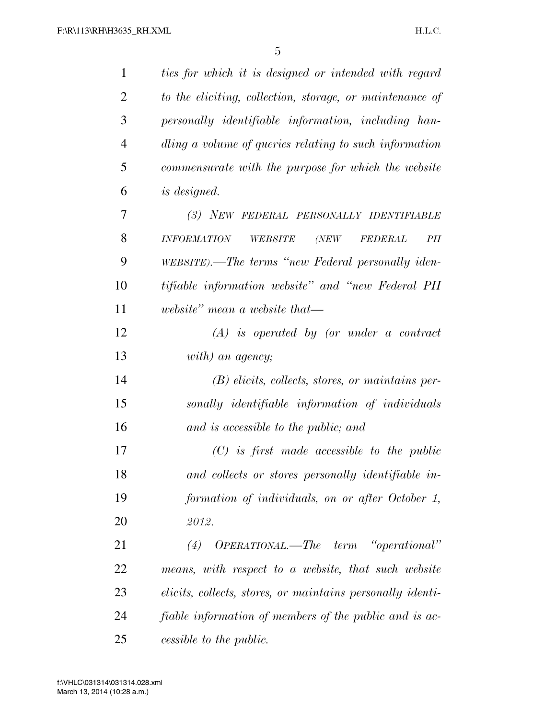| $\mathbf{1}$   | ties for which it is designed or intended with regard           |
|----------------|-----------------------------------------------------------------|
| $\overline{2}$ | to the eliciting, collection, storage, or maintenance of        |
| 3              | personally identifiable information, including han-             |
| $\overline{4}$ | dling a volume of queries relating to such information          |
| 5              | commensurate with the purpose for which the website             |
| 6              | <i>is designed.</i>                                             |
| 7              | (3) NEW FEDERAL PERSONALLY IDENTIFIABLE                         |
| 8              | <b>INFORMATION</b><br>WEBSITE<br><b>FEDERAL</b><br>PII<br>(NEW) |
| 9              | WEBSITE).—The terms "new Federal personally iden-               |
| 10             | tifiable information website" and "new Federal PII              |
| 11             | website" mean a website that-                                   |
| 12             | $(A)$ is operated by (or under a contract                       |
| 13             | with) an agency;                                                |
| 14             | $(B)$ elicits, collects, stores, or maintains per-              |
| 15             | sonally identifiable information of individuals                 |
| 16             | and is accessible to the public; and                            |
| 17             | $(C)$ is first made accessible to the public                    |
| 18             | and collects or stores personally identifiable in-              |
| 19             | formation of individuals, on or after October 1,                |
| 20             | 2012.                                                           |
| 21             | OPERATIONAL.—The term "operational"<br>(4)                      |
| 22             | means, with respect to a website, that such website             |
| 23             | elicits, collects, stores, or maintains personally identi-      |
| 24             | fiable information of members of the public and is ac-          |
| 25             | cessible to the public.                                         |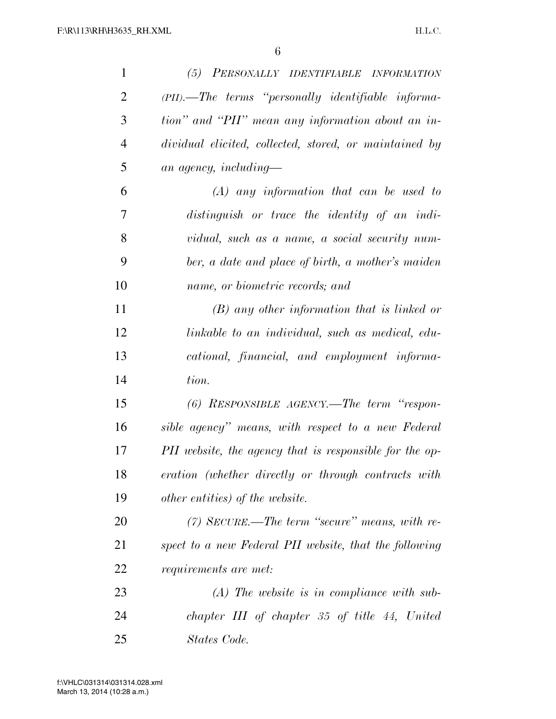| 1              | (5) PERSONALLY IDENTIFIABLE INFORMATION                 |
|----------------|---------------------------------------------------------|
| $\overline{2}$ | (PII).—The terms "personally identifiable informa-      |
| 3              | tion" and "PII" mean any information about an in-       |
| $\overline{4}$ | dividual elicited, collected, stored, or maintained by  |
| 5              | an agency, including—                                   |
| 6              | $(A)$ any information that can be used to               |
| 7              | distinguish or trace the identity of an indi-           |
| 8              | vidual, such as a name, a social security num-          |
| 9              | ber, a date and place of birth, a mother's maiden       |
| 10             | name, or biometric records; and                         |
| 11             | $(B)$ any other information that is linked or           |
| 12             | linkable to an individual, such as medical, edu-        |
| 13             | cational, financial, and employment informa-            |
| 14             | tion.                                                   |
| 15             | $(6)$ RESPONSIBLE AGENCY.—The term "respon-             |
| 16             | sible agency" means, with respect to a new Federal      |
| 17             | PII website, the agency that is responsible for the op- |
| 18             | eration (whether directly or through contracts with     |
| 19             | <i>other entities</i> ) <i>of the website.</i>          |
| 20             | $(7)$ SECURE.—The term "secure" means, with re-         |
| 21             | spect to a new Federal PII website, that the following  |
| 22             | <i>requirements are met:</i>                            |
| 23             | $(A)$ The website is in compliance with sub-            |
| 24             | chapter III of chapter 35 of title 44, United           |
| 25             | States Code.                                            |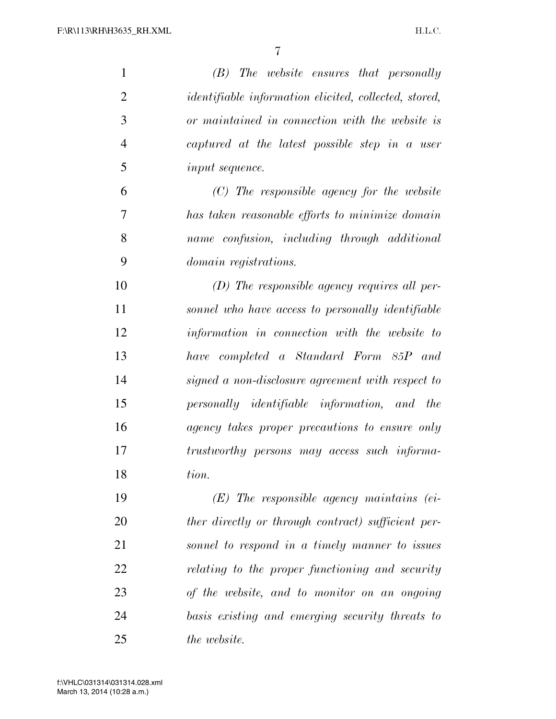| $\mathbf{1}$   | $(B)$ The website ensures that personally                    |
|----------------|--------------------------------------------------------------|
| $\overline{2}$ | <i>identifiable information elicited, collected, stored,</i> |
| 3              | or maintained in connection with the website is              |
| $\overline{4}$ | captured at the latest possible step in a user               |
| 5              | <i>input sequence.</i>                                       |
| 6              | $(C)$ The responsible agency for the website                 |
| 7              | has taken reasonable efforts to minimize domain              |
| 8              | name confusion, including through additional                 |
| 9              | <i>domain registrations.</i>                                 |
| 10             | $(D)$ The responsible agency requires all per-               |
| 11             | sonnel who have access to personally identifiable            |
| 12             | information in connection with the website to                |
| 13             | have completed a Standard Form 85P and                       |
| 14             | signed a non-disclosure agreement with respect to            |
| 15             | personally identifiable information, and the                 |
| 16             | agency takes proper precautions to ensure only               |
| 17             | trustworthy persons may access such informa-                 |
| 18             | tion.                                                        |
| 19             | $(E)$ The responsible agency maintains (ei-                  |
| 20             | ther directly or through contract) sufficient per-           |
| 21             | sonnel to respond in a timely manner to issues               |
| 22             | relating to the proper functioning and security              |
| 23             | of the website, and to monitor on an ongoing                 |
| 24             | basis existing and emerging security threats to              |
| 25             | the website.                                                 |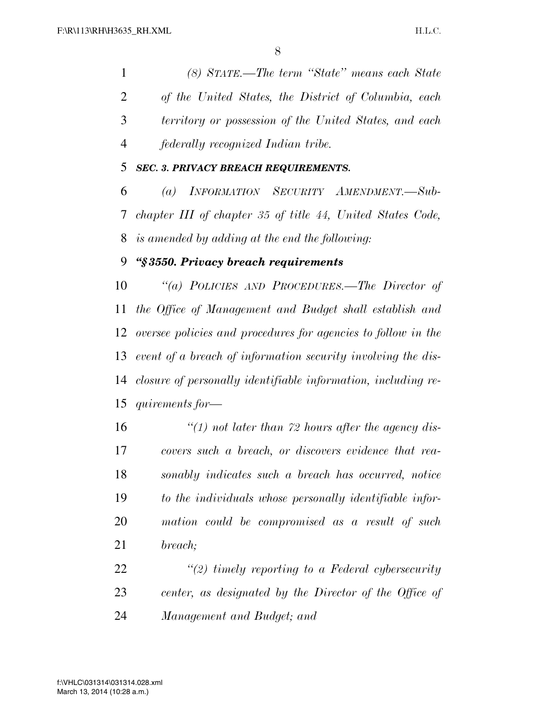*(8) STATE.—The term ''State'' means each State of the United States, the District of Columbia, each territory or possession of the United States, and each federally recognized Indian tribe.* 

### *SEC. 3. PRIVACY BREACH REQUIREMENTS.*

 *(a) INFORMATION SECURITY AMENDMENT.—Sub- chapter III of chapter 35 of title 44, United States Code, is amended by adding at the end the following:* 

#### *''§ 3550. Privacy breach requirements*

 *''(a) POLICIES AND PROCEDURES.—The Director of the Office of Management and Budget shall establish and oversee policies and procedures for agencies to follow in the event of a breach of information security involving the dis- closure of personally identifiable information, including re-quirements for—* 

 *''(1) not later than 72 hours after the agency dis- covers such a breach, or discovers evidence that rea- sonably indicates such a breach has occurred, notice to the individuals whose personally identifiable infor- mation could be compromised as a result of such breach;* 

 *''(2) timely reporting to a Federal cybersecurity center, as designated by the Director of the Office of Management and Budget; and*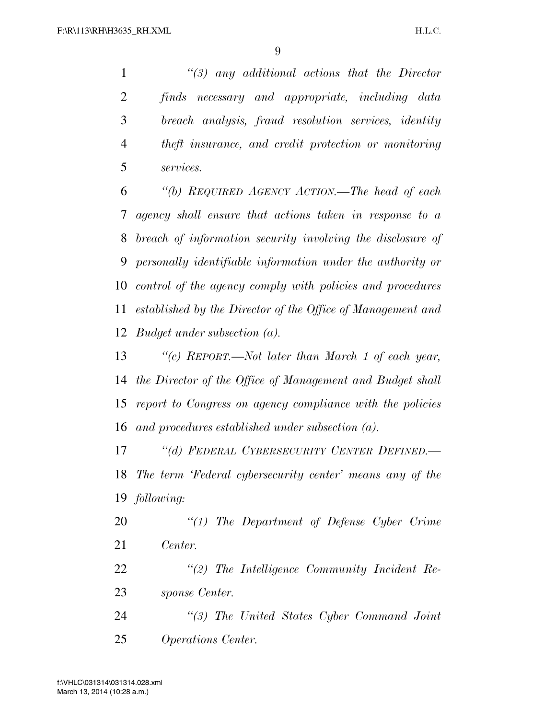*''(3) any additional actions that the Director finds necessary and appropriate, including data breach analysis, fraud resolution services, identity theft insurance, and credit protection or monitoring services.* 

 *''(b) REQUIRED AGENCY ACTION.—The head of each agency shall ensure that actions taken in response to a breach of information security involving the disclosure of personally identifiable information under the authority or control of the agency comply with policies and procedures established by the Director of the Office of Management and Budget under subsection (a).* 

 *''(c) REPORT.—Not later than March 1 of each year, the Director of the Office of Management and Budget shall report to Congress on agency compliance with the policies and procedures established under subsection (a).* 

 *''(d) FEDERAL CYBERSECURITY CENTER DEFINED.— The term 'Federal cybersecurity center' means any of the following:* 

 *''(1) The Department of Defense Cyber Crime Center.* 

 *''(2) The Intelligence Community Incident Re-sponse Center.* 

 *''(3) The United States Cyber Command Joint Operations Center.* 

March 13, 2014 (10:28 a.m.) f:\VHLC\031314\031314.028.xml